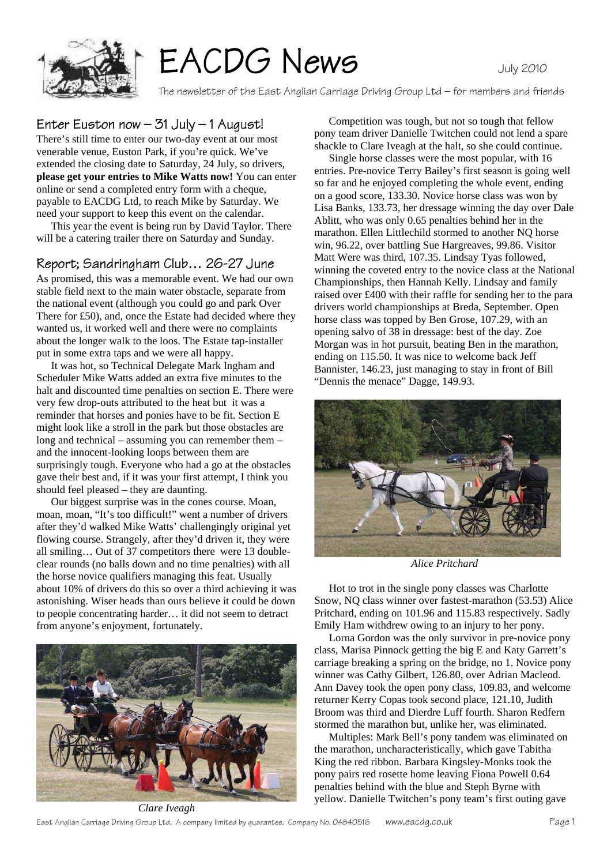

## EACDG News

The newsletter of the East Anglian Carriage Driving Group Ltd – for members and friends

#### Enter Euston now  $-$  31 July  $-$  1 August!

There's still time to enter our two-day event at our most venerable venue, Euston Park, if you're quick. We've extended the closing date to Saturday, 24 July, so drivers, **please get your entries to Mike Watts now!** You can enter online or send a completed entry form with a cheque, payable to EACDG Ltd, to reach Mike by Saturday. We need your support to keep this event on the calendar.

 This year the event is being run by David Taylor. There will be a catering trailer there on Saturday and Sunday.

#### Report; Sandringham Club… 26-27 June

As promised, this was a memorable event. We had our own stable field next to the main water obstacle, separate from the national event (although you could go and park Over There for £50), and, once the Estate had decided where they wanted us, it worked well and there were no complaints about the longer walk to the loos. The Estate tap-installer put in some extra taps and we were all happy.

 It was hot, so Technical Delegate Mark Ingham and Scheduler Mike Watts added an extra five minutes to the halt and discounted time penalties on section E. There were very few drop-outs attributed to the heat but it was a reminder that horses and ponies have to be fit. Section E might look like a stroll in the park but those obstacles are long and technical – assuming you can remember them – and the innocent-looking loops between them are surprisingly tough. Everyone who had a go at the obstacles gave their best and, if it was your first attempt, I think you should feel pleased – they are daunting.

 Our biggest surprise was in the cones course. Moan, moan, moan, "It's too difficult!" went a number of drivers after they'd walked Mike Watts' challengingly original yet flowing course. Strangely, after they'd driven it, they were all smiling… Out of 37 competitors there were 13 doubleclear rounds (no balls down and no time penalties) with all the horse novice qualifiers managing this feat. Usually about 10% of drivers do this so over a third achieving it was astonishing. Wiser heads than ours believe it could be down to people concentrating harder… it did not seem to detract from anyone's enjoyment, fortunately.



 Competition was tough, but not so tough that fellow pony team driver Danielle Twitchen could not lend a spare shackle to Clare Iveagh at the halt, so she could continue.

 Single horse classes were the most popular, with 16 entries. Pre-novice Terry Bailey's first season is going well so far and he enjoyed completing the whole event, ending on a good score, 133.30. Novice horse class was won by Lisa Banks, 133.73, her dressage winning the day over Dale Ablitt, who was only 0.65 penalties behind her in the marathon. Ellen Littlechild stormed to another NQ horse win, 96.22, over battling Sue Hargreaves, 99.86. Visitor Matt Were was third, 107.35. Lindsay Tyas followed, winning the coveted entry to the novice class at the National Championships, then Hannah Kelly. Lindsay and family raised over £400 with their raffle for sending her to the para drivers world championships at Breda, September. Open horse class was topped by Ben Grose, 107.29, with an opening salvo of 38 in dressage: best of the day. Zoe Morgan was in hot pursuit, beating Ben in the marathon, ending on 115.50. It was nice to welcome back Jeff Bannister, 146.23, just managing to stay in front of Bill "Dennis the menace" Dagge, 149.93.



*Alice Pritchard* 

 Hot to trot in the single pony classes was Charlotte Snow, NQ class winner over fastest-marathon (53.53) Alice Pritchard, ending on 101.96 and 115.83 respectively. Sadly Emily Ham withdrew owing to an injury to her pony.

 Lorna Gordon was the only survivor in pre-novice pony class, Marisa Pinnock getting the big E and Katy Garrett's carriage breaking a spring on the bridge, no 1. Novice pony winner was Cathy Gilbert, 126.80, over Adrian Macleod. Ann Davey took the open pony class, 109.83, and welcome returner Kerry Copas took second place, 121.10, Judith Broom was third and Dierdre Luff fourth. Sharon Redfern stormed the marathon but, unlike her, was eliminated.

 Multiples: Mark Bell's pony tandem was eliminated on the marathon, uncharacteristically, which gave Tabitha King the red ribbon. Barbara Kingsley-Monks took the pony pairs red rosette home leaving Fiona Powell 0.64 penalties behind with the blue and Steph Byrne with yellow. Danielle Twitchen's pony team's first outing gave

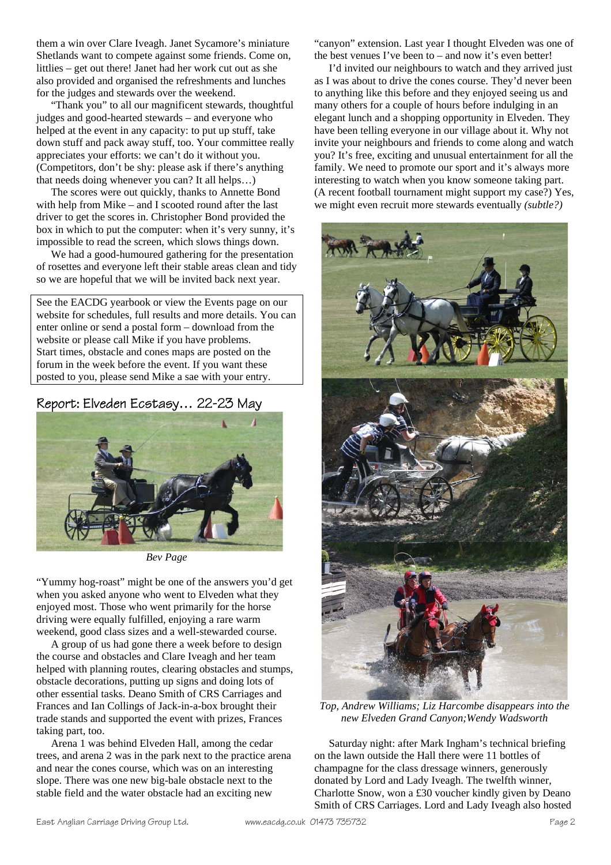them a win over Clare Iveagh. Janet Sycamore's miniature Shetlands want to compete against some friends. Come on, littlies – get out there! Janet had her work cut out as she also provided and organised the refreshments and lunches for the judges and stewards over the weekend.

 "Thank you" to all our magnificent stewards, thoughtful judges and good-hearted stewards – and everyone who helped at the event in any capacity: to put up stuff, take down stuff and pack away stuff, too. Your committee really appreciates your efforts: we can't do it without you. (Competitors, don't be shy: please ask if there's anything that needs doing whenever you can? It all helps…)

 The scores were out quickly, thanks to Annette Bond with help from Mike – and I scooted round after the last driver to get the scores in. Christopher Bond provided the box in which to put the computer: when it's very sunny, it's impossible to read the screen, which slows things down.

 We had a good-humoured gathering for the presentation of rosettes and everyone left their stable areas clean and tidy so we are hopeful that we will be invited back next year.

See the EACDG yearbook or view the Events page on our website for schedules, full results and more details. You can enter online or send a postal form – download from the website or please call Mike if you have problems. Start times, obstacle and cones maps are posted on the forum in the week before the event. If you want these posted to you, please send Mike a sae with your entry.

#### Report: Elveden Ecstasy… 22-23 May



*Bev Page* 

"Yummy hog-roast" might be one of the answers you'd get when you asked anyone who went to Elveden what they enjoyed most. Those who went primarily for the horse driving were equally fulfilled, enjoying a rare warm weekend, good class sizes and a well-stewarded course.

 A group of us had gone there a week before to design the course and obstacles and Clare Iveagh and her team helped with planning routes, clearing obstacles and stumps, obstacle decorations, putting up signs and doing lots of other essential tasks. Deano Smith of CRS Carriages and Frances and Ian Collings of Jack-in-a-box brought their trade stands and supported the event with prizes, Frances taking part, too.

 Arena 1 was behind Elveden Hall, among the cedar trees, and arena 2 was in the park next to the practice arena and near the cones course, which was on an interesting slope. There was one new big-bale obstacle next to the stable field and the water obstacle had an exciting new

"canyon" extension. Last year I thought Elveden was one of the best venues I've been to – and now it's even better!

 I'd invited our neighbours to watch and they arrived just as I was about to drive the cones course. They'd never been to anything like this before and they enjoyed seeing us and many others for a couple of hours before indulging in an elegant lunch and a shopping opportunity in Elveden. They have been telling everyone in our village about it. Why not invite your neighbours and friends to come along and watch you? It's free, exciting and unusual entertainment for all the family. We need to promote our sport and it's always more interesting to watch when you know someone taking part. (A recent football tournament might support my case?) Yes, we might even recruit more stewards eventually *(subtle?)* 



*Top, Andrew Williams; Liz Harcombe disappears into the new Elveden Grand Canyon;Wendy Wadsworth* 

 Saturday night: after Mark Ingham's technical briefing on the lawn outside the Hall there were 11 bottles of champagne for the class dressage winners, generously donated by Lord and Lady Iveagh. The twelfth winner, Charlotte Snow, won a £30 voucher kindly given by Deano Smith of CRS Carriages. Lord and Lady Iveagh also hosted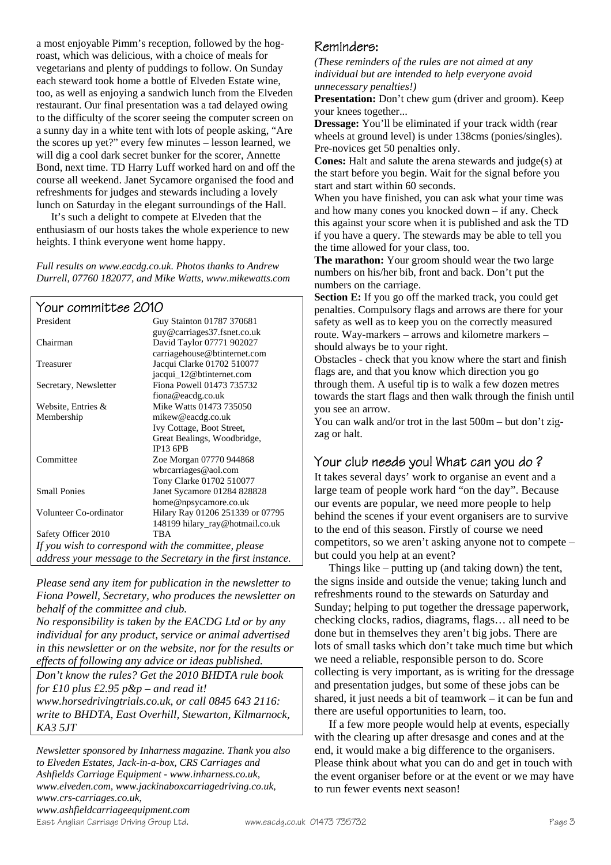a most enjoyable Pimm's reception, followed by the hogroast, which was delicious, with a choice of meals for vegetarians and plenty of puddings to follow. On Sunday each steward took home a bottle of Elveden Estate wine, too, as well as enjoying a sandwich lunch from the Elveden restaurant. Our final presentation was a tad delayed owing to the difficulty of the scorer seeing the computer screen on a sunny day in a white tent with lots of people asking, "Are the scores up yet?" every few minutes – lesson learned, we will dig a cool dark secret bunker for the scorer, Annette Bond, next time. TD Harry Luff worked hard on and off the course all weekend. Janet Sycamore organised the food and refreshments for judges and stewards including a lovely lunch on Saturday in the elegant surroundings of the Hall.

 It's such a delight to compete at Elveden that the enthusiasm of our hosts takes the whole experience to new heights. I think everyone went home happy.

*Full results on www.eacdg.co.uk. Photos thanks to Andrew Durrell, 07760 182077, and Mike Watts, www.mikewatts.com* 

| Your committee 2010                                          |                                  |
|--------------------------------------------------------------|----------------------------------|
| President                                                    | Guy Stainton 01787 370681        |
|                                                              | guy@carriages37.fsnet.co.uk      |
| Chairman                                                     | David Taylor 07771 902027        |
|                                                              | carriagehouse@btinternet.com     |
| Treasurer                                                    | Jacqui Clarke 01702 510077       |
|                                                              | jacqui_12@btinternet.com         |
| Secretary, Newsletter                                        | Fiona Powell 01473 735732        |
|                                                              | fiona@eacdg.co.uk                |
| Website, Entries &                                           | Mike Watts 01473 735050          |
| Membership                                                   | mikew@eacdg.co.uk                |
|                                                              | Ivy Cottage, Boot Street,        |
|                                                              | Great Bealings, Woodbridge,      |
|                                                              | <b>IP13 6PB</b>                  |
| Committee                                                    | Zoe Morgan 07770 944868          |
|                                                              | wbrcarriages@aol.com             |
|                                                              | Tony Clarke 01702 510077         |
| <b>Small Ponies</b>                                          | Janet Sycamore 01284 828828      |
|                                                              | home@npsycamore.co.uk            |
| Volunteer Co-ordinator                                       | Hilary Ray 01206 251339 or 07795 |
|                                                              | 148199 hilary_ray@hotmail.co.uk  |
| Safety Officer 2010                                          | <b>TRA</b>                       |
| If you wish to correspond with the committee, please         |                                  |
| address your message to the Secretary in the first instance. |                                  |

*Please send any item for publication in the newsletter to Fiona Powell, Secretary, who produces the newsletter on behalf of the committee and club.* 

*No responsibility is taken by the EACDG Ltd or by any individual for any product, service or animal advertised in this newsletter or on the website, nor for the results or effects of following any advice or ideas published.* 

*Don't know the rules? Get the 2010 BHDTA rule book for £10 plus £2.95 p&p – and read it! www.horsedrivingtrials.co.uk, or call 0845 643 2116: write to BHDTA, East Overhill, Stewarton, Kilmarnock, KA3 5JT* 

*Newsletter sponsored by Inharness magazine. Thank you also to Elveden Estates, Jack-in-a-box, CRS Carriages and Ashfields Carriage Equipment - www.inharness.co.uk, www.elveden.com, www.jackinaboxcarriagedriving.co.uk, www.crs-carriages.co.uk, www.ashfieldcarriageequipment.com* 

East Anglian Carriage Driving Group Ltd. www.eacdg.co.uk 01473 735732 Page 3

#### Reminders:

*(These reminders of the rules are not aimed at any individual but are intended to help everyone avoid unnecessary penalties!)* 

**Presentation:** Don't chew gum (driver and groom). Keep your knees together...

**Dressage:** You'll be eliminated if your track width (rear) wheels at ground level) is under 138cms (ponies/singles). Pre-novices get 50 penalties only.

**Cones:** Halt and salute the arena stewards and judge(s) at the start before you begin. Wait for the signal before you start and start within 60 seconds.

When you have finished, you can ask what your time was and how many cones you knocked down – if any. Check this against your score when it is published and ask the TD if you have a query. The stewards may be able to tell you the time allowed for your class, too.

**The marathon:** Your groom should wear the two large numbers on his/her bib, front and back. Don't put the numbers on the carriage.

Section E: If you go off the marked track, you could get penalties. Compulsory flags and arrows are there for your safety as well as to keep you on the correctly measured route. Way-markers – arrows and kilometre markers – should always be to your right.

Obstacles - check that you know where the start and finish flags are, and that you know which direction you go through them. A useful tip is to walk a few dozen metres towards the start flags and then walk through the finish until you see an arrow.

You can walk and/or trot in the last 500m – but don't zigzag or halt.

#### Your club needs you! What can you do ?

It takes several days' work to organise an event and a large team of people work hard "on the day". Because our events are popular, we need more people to help behind the scenes if your event organisers are to survive to the end of this season. Firstly of course we need competitors, so we aren't asking anyone not to compete – but could you help at an event? Things like – putting up (and taking down) the tent,

the signs inside and outside the venue; taking lunch and refreshments round to the stewards on Saturday and Sunday; helping to put together the dressage paperwork, checking clocks, radios, diagrams, flags… all need to be done but in themselves they aren't big jobs. There are lots of small tasks which don't take much time but which we need a reliable, responsible person to do. Score collecting is very important, as is writing for the dressage and presentation judges, but some of these jobs can be shared, it just needs a bit of teamwork – it can be fun and there are useful opportunities to learn, too.

 If a few more people would help at events, especially with the clearing up after dresasge and cones and at the end, it would make a big difference to the organisers. Please think about what you can do and get in touch with the event organiser before or at the event or we may have to run fewer events next season!